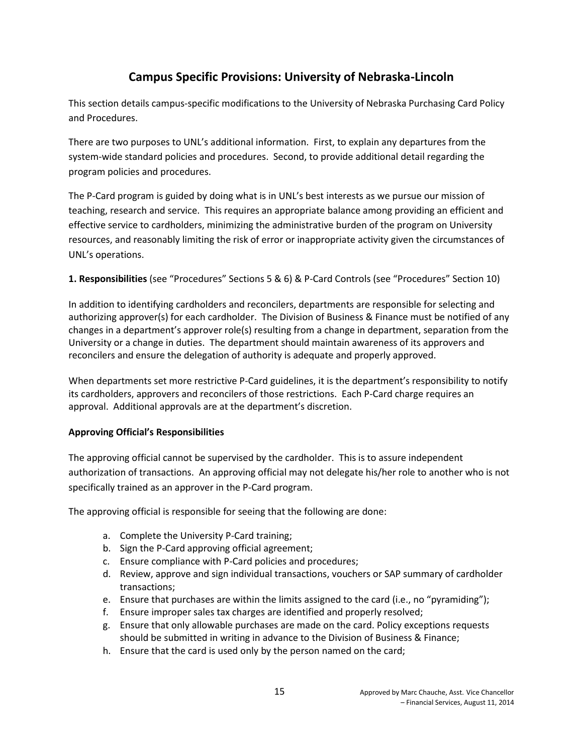# **Campus Specific Provisions: University of Nebraska-Lincoln**

This section details campus-specific modifications to the University of Nebraska Purchasing Card Policy and Procedures.

There are two purposes to UNL's additional information. First, to explain any departures from the system-wide standard policies and procedures. Second, to provide additional detail regarding the program policies and procedures.

The P-Card program is guided by doing what is in UNL's best interests as we pursue our mission of teaching, research and service. This requires an appropriate balance among providing an efficient and effective service to cardholders, minimizing the administrative burden of the program on University resources, and reasonably limiting the risk of error or inappropriate activity given the circumstances of UNL's operations.

## **1. Responsibilities** (see "Procedures" Sections 5 & 6) & P-Card Controls (see "Procedures" Section 10)

In addition to identifying cardholders and reconcilers, departments are responsible for selecting and authorizing approver(s) for each cardholder. The Division of Business & Finance must be notified of any changes in a department's approver role(s) resulting from a change in department, separation from the University or a change in duties. The department should maintain awareness of its approvers and reconcilers and ensure the delegation of authority is adequate and properly approved.

When departments set more restrictive P-Card guidelines, it is the department's responsibility to notify its cardholders, approvers and reconcilers of those restrictions. Each P-Card charge requires an approval. Additional approvals are at the department's discretion.

## **Approving Official's Responsibilities**

The approving official cannot be supervised by the cardholder. This is to assure independent authorization of transactions. An approving official may not delegate his/her role to another who is not specifically trained as an approver in the P-Card program.

The approving official is responsible for seeing that the following are done:

- a. Complete the University P-Card training;
- b. Sign the P-Card approving official agreement;
- c. Ensure compliance with P-Card policies and procedures;
- d. Review, approve and sign individual transactions, vouchers or SAP summary of cardholder transactions;
- e. Ensure that purchases are within the limits assigned to the card (i.e., no "pyramiding");
- f. Ensure improper sales tax charges are identified and properly resolved;
- g. Ensure that only allowable purchases are made on the card. Policy exceptions requests should be submitted in writing in advance to the Division of Business & Finance;
- h. Ensure that the card is used only by the person named on the card;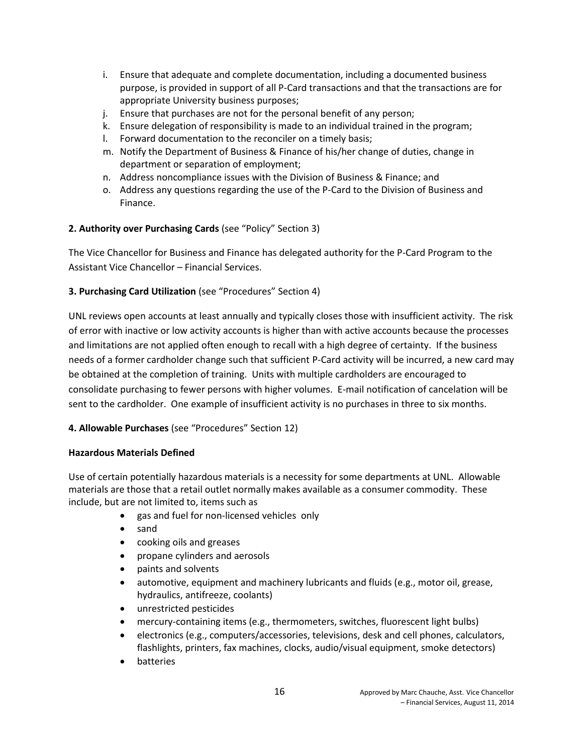- i. Ensure that adequate and complete documentation, including a documented business purpose, is provided in support of all P-Card transactions and that the transactions are for appropriate University business purposes;
- j. Ensure that purchases are not for the personal benefit of any person;
- k. Ensure delegation of responsibility is made to an individual trained in the program;
- l. Forward documentation to the reconciler on a timely basis;
- m. Notify the Department of Business & Finance of his/her change of duties, change in department or separation of employment;
- n. Address noncompliance issues with the Division of Business & Finance; and
- o. Address any questions regarding the use of the P-Card to the Division of Business and Finance.

# **2. Authority over Purchasing Cards** (see "Policy" Section 3)

The Vice Chancellor for Business and Finance has delegated authority for the P-Card Program to the Assistant Vice Chancellor – Financial Services.

# **3. Purchasing Card Utilization** (see "Procedures" Section 4)

UNL reviews open accounts at least annually and typically closes those with insufficient activity. The risk of error with inactive or low activity accounts is higher than with active accounts because the processes and limitations are not applied often enough to recall with a high degree of certainty. If the business needs of a former cardholder change such that sufficient P-Card activity will be incurred, a new card may be obtained at the completion of training. Units with multiple cardholders are encouraged to consolidate purchasing to fewer persons with higher volumes. E-mail notification of cancelation will be sent to the cardholder. One example of insufficient activity is no purchases in three to six months.

## **4. Allowable Purchases** (see "Procedures" Section 12)

## **Hazardous Materials Defined**

Use of certain potentially hazardous materials is a necessity for some departments at UNL. Allowable materials are those that a retail outlet normally makes available as a consumer commodity. These include, but are not limited to, items such as

- gas and fuel for non-licensed vehicles only
- sand
- cooking oils and greases
- propane cylinders and aerosols
- paints and solvents
- automotive, equipment and machinery lubricants and fluids (e.g., motor oil, grease, hydraulics, antifreeze, coolants)
- unrestricted pesticides
- mercury-containing items (e.g., thermometers, switches, fluorescent light bulbs)
- electronics (e.g., computers/accessories, televisions, desk and cell phones, calculators, flashlights, printers, fax machines, clocks, audio/visual equipment, smoke detectors)
- batteries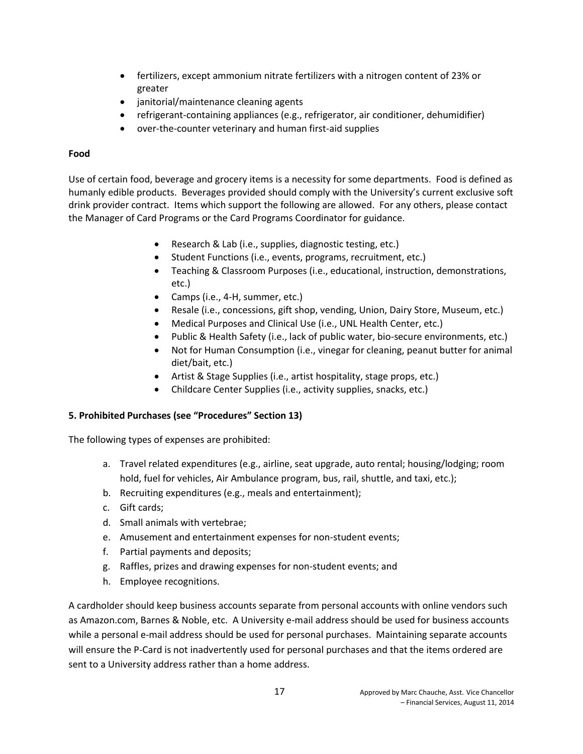- fertilizers, except ammonium nitrate fertilizers with a nitrogen content of 23% or greater
- janitorial/maintenance cleaning agents
- refrigerant-containing appliances (e.g., refrigerator, air conditioner, dehumidifier)
- over-the-counter veterinary and human first-aid supplies

#### **Food**

Use of certain food, beverage and grocery items is a necessity for some departments. Food is defined as humanly edible products. Beverages provided should comply with the University's current exclusive soft drink provider contract. Items which support the following are allowed. For any others, please contact the Manager of Card Programs or the Card Programs Coordinator for guidance.

- Research & Lab (i.e., supplies, diagnostic testing, etc.)
- Student Functions (i.e., events, programs, recruitment, etc.)
- Teaching & Classroom Purposes (i.e., educational, instruction, demonstrations, etc.)
- Camps (i.e., 4-H, summer, etc.)
- Resale (i.e., concessions, gift shop, vending, Union, Dairy Store, Museum, etc.)
- Medical Purposes and Clinical Use (i.e., UNL Health Center, etc.)
- Public & Health Safety (i.e., lack of public water, bio-secure environments, etc.)
- Not for Human Consumption (i.e., vinegar for cleaning, peanut butter for animal diet/bait, etc.)
- Artist & Stage Supplies (i.e., artist hospitality, stage props, etc.)
- Childcare Center Supplies (i.e., activity supplies, snacks, etc.)

## **5. Prohibited Purchases (see "Procedures" Section 13)**

The following types of expenses are prohibited:

- a. Travel related expenditures (e.g., airline, seat upgrade, auto rental; housing/lodging; room hold, fuel for vehicles, Air Ambulance program, bus, rail, shuttle, and taxi, etc.);
- b. Recruiting expenditures (e.g., meals and entertainment);
- c. Gift cards;
- d. Small animals with vertebrae;
- e. Amusement and entertainment expenses for non-student events;
- f. Partial payments and deposits;
- g. Raffles, prizes and drawing expenses for non-student events; and
- h. Employee recognitions.

A cardholder should keep business accounts separate from personal accounts with online vendors such as Amazon.com, Barnes & Noble, etc. A University e-mail address should be used for business accounts while a personal e-mail address should be used for personal purchases. Maintaining separate accounts will ensure the P-Card is not inadvertently used for personal purchases and that the items ordered are sent to a University address rather than a home address.